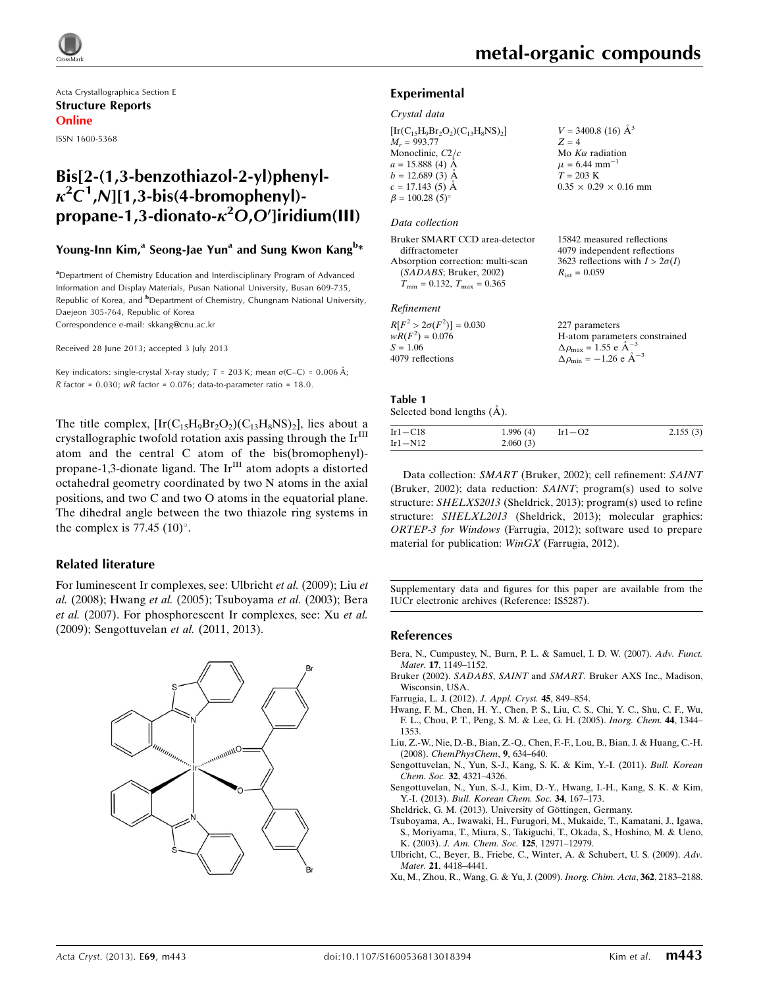

Acta Crystallographica Section E Structure Reports Online

ISSN 1600-5368

## Bis[2-(1,3-benzothiazol-2-yl)phenyl- $\kappa^2 C^1$ , N][1,3-bis(4-bromophenyl)propane-1,3-dionato- $\kappa^2$ O,O']iridium(III)

## Young-Inn Kim,<sup>a</sup> Seong-Jae Yun<sup>a</sup> and Sung Kwon Kang<sup>b</sup>\*

<sup>a</sup>Department of Chemistry Education and Interdisciplinary Program of Advanced Information and Display Materials, Pusan National University, Busan 609-735, Republic of Korea, and <sup>b</sup>Department of Chemistry, Chungnam National University, Daejeon 305-764, Republic of Korea Correspondence e-mail: [skkang@cnu.ac.kr](https://scripts.iucr.org/cgi-bin/cr.cgi?rm=pdfbb&cnor=is5287&bbid=BB11)

Received 28 June 2013; accepted 3 July 2013

Key indicators: single-crystal X-ray study;  $T = 203$  K; mean  $\sigma$ (C–C) = 0.006 Å; R factor =  $0.030$ ; wR factor =  $0.076$ ; data-to-parameter ratio = 18.0.

The title complex,  $[\text{Ir}(C_{15}H_9Br_2O_2)(C_{13}H_8NS)_2]$ , lies about a crystallographic twofold rotation axis passing through the  $Ir<sup>III</sup>$ atom and the central C atom of the bis(bromophenyl) propane-1,3-dionate ligand. The Ir<sup>III</sup> atom adopts a distorted octahedral geometry coordinated by two N atoms in the axial positions, and two C and two O atoms in the equatorial plane. The dihedral angle between the two thiazole ring systems in the complex is 77.45  $(10)^\circ$ .

### Related literature

For luminescent Ir complexes, see: Ulbricht et al. (2009); Liu et al. (2008); Hwang et al. (2005); Tsuboyama et al. (2003); Bera et al. (2007). For phosphorescent Ir complexes, see: Xu et al. (2009); Sengottuvelan et al. (2011, 2013).



### Experimental

### Crystal data

 $[Ir(C_{15}H_9Br_2O_2)(C_{13}H_8NS)_2]$  $M_r = 993.77$ Monoclinic,  $C2/c$  $a = 15.888(4)$  Å  $b = 12.689(3)$  Å  $c = 17.143(5)$  Å  $\beta = 100.28$  (5)<sup>o</sup>  $V = 3400.8$  (16)  $\AA^3$  $Z = 4$ Mo  $K\alpha$  radiation  $\mu = 6.44$  mm<sup>-1</sup>  $T = 203 \text{ K}$  $0.35 \times 0.29 \times 0.16$  mm

### Data collection

| Bruker SMART CCD area-detector                   | 15842 measured reflections             |
|--------------------------------------------------|----------------------------------------|
| diffractometer                                   | 4079 independent reflections           |
| Absorption correction: multi-scan                | 3623 reflections with $I > 2\sigma(I)$ |
| (SADABS; Bruker, 2002)                           | $R_{\text{int}} = 0.059$               |
| $T_{\text{min}} = 0.132, T_{\text{max}} = 0.365$ |                                        |
|                                                  |                                        |
|                                                  |                                        |

### Refinement

| $R[F^2 > 2\sigma(F^2)] = 0.030$ | 227 parameters                                             |
|---------------------------------|------------------------------------------------------------|
| $wR(F^2) = 0.076$               | H-atom parameters constrained                              |
| $S = 1.06$                      | $\Delta \rho_{\text{max}} = 1.55 \text{ e A}^{-3}$         |
| 4079 reflections                | $\Delta \rho_{\rm min} = -1.26 \text{ e } \text{\AA}^{-3}$ |

#### Table 1 Selected bond lengths  $(\AA)$ .

|             | $\sim$ $\sim$ |            |          |
|-------------|---------------|------------|----------|
| $Ir1 - C18$ | 1.996(4)      | Ir $1-$ O2 | 2.155(3) |
| Ir1-N12     | 2.060(3)      |            |          |

Data collection: SMART (Bruker, 2002); cell refinement: SAINT (Bruker, 2002); data reduction: SAINT; program(s) used to solve structure: SHELXS2013 (Sheldrick, 2013); program(s) used to refine structure: SHELXL2013 (Sheldrick, 2013); molecular graphics: ORTEP-3 for Windows (Farrugia, 2012); software used to prepare material for publication: WinGX (Farrugia, 2012).

Supplementary data and figures for this paper are available from the IUCr electronic archives (Reference: IS5287).

### References

- [Bera, N., Cumpustey, N., Burn, P. L. & Samuel, I. D. W. \(2007\).](https://scripts.iucr.org/cgi-bin/cr.cgi?rm=pdfbb&cnor=is5287&bbid=BB1) Adv. Funct. Mater. 17[, 1149–1152.](https://scripts.iucr.org/cgi-bin/cr.cgi?rm=pdfbb&cnor=is5287&bbid=BB1)
- Bruker (2002). SADABS, SAINT and SMART[. Bruker AXS Inc., Madison,](https://scripts.iucr.org/cgi-bin/cr.cgi?rm=pdfbb&cnor=is5287&bbid=BB2) [Wisconsin, USA.](https://scripts.iucr.org/cgi-bin/cr.cgi?rm=pdfbb&cnor=is5287&bbid=BB2)
- [Farrugia, L. J. \(2012\).](https://scripts.iucr.org/cgi-bin/cr.cgi?rm=pdfbb&cnor=is5287&bbid=BB3) J. Appl. Cryst. 45, 849–854.
- [Hwang, F. M., Chen, H. Y., Chen, P. S., Liu, C. S., Chi, Y. C., Shu, C. F., Wu,](https://scripts.iucr.org/cgi-bin/cr.cgi?rm=pdfbb&cnor=is5287&bbid=BB4) [F. L., Chou, P. T., Peng, S. M. & Lee, G. H. \(2005\).](https://scripts.iucr.org/cgi-bin/cr.cgi?rm=pdfbb&cnor=is5287&bbid=BB4) Inorg. Chem. 44, 1344– [1353.](https://scripts.iucr.org/cgi-bin/cr.cgi?rm=pdfbb&cnor=is5287&bbid=BB4)
- [Liu, Z.-W., Nie, D.-B., Bian, Z.-Q., Chen, F.-F., Lou, B., Bian, J. & Huang, C.-H.](https://scripts.iucr.org/cgi-bin/cr.cgi?rm=pdfbb&cnor=is5287&bbid=BB5) (2008). [ChemPhysChem](https://scripts.iucr.org/cgi-bin/cr.cgi?rm=pdfbb&cnor=is5287&bbid=BB5), 9, 634–640.
- [Sengottuvelan, N., Yun, S.-J., Kang, S. K. & Kim, Y.-I. \(2011\).](https://scripts.iucr.org/cgi-bin/cr.cgi?rm=pdfbb&cnor=is5287&bbid=BB6) Bull. Korean Chem. Soc. 32[, 4321–4326.](https://scripts.iucr.org/cgi-bin/cr.cgi?rm=pdfbb&cnor=is5287&bbid=BB6)
- [Sengottuvelan, N., Yun, S.-J., Kim, D.-Y., Hwang, I.-H., Kang, S. K. & Kim,](https://scripts.iucr.org/cgi-bin/cr.cgi?rm=pdfbb&cnor=is5287&bbid=BB7) Y.-I. (2013). [Bull. Korean Chem. Soc.](https://scripts.iucr.org/cgi-bin/cr.cgi?rm=pdfbb&cnor=is5287&bbid=BB7) 34, 167–173.
- Sheldrick, G. M. (2013). University of Göttingen, Germany.
- [Tsuboyama, A., Iwawaki, H., Furugori, M., Mukaide, T., Kamatani, J., Igawa,](https://scripts.iucr.org/cgi-bin/cr.cgi?rm=pdfbb&cnor=is5287&bbid=BB9) [S., Moriyama, T., Miura, S., Takiguchi, T., Okada, S., Hoshino, M. & Ueno,](https://scripts.iucr.org/cgi-bin/cr.cgi?rm=pdfbb&cnor=is5287&bbid=BB9) K. (2003). [J. Am. Chem. Soc.](https://scripts.iucr.org/cgi-bin/cr.cgi?rm=pdfbb&cnor=is5287&bbid=BB9) 125, 12971–12979.
- [Ulbricht, C., Beyer, B., Friebe, C., Winter, A. & Schubert, U. S. \(2009\).](https://scripts.iucr.org/cgi-bin/cr.cgi?rm=pdfbb&cnor=is5287&bbid=BB10) Adv. Mater. 21[, 4418–4441.](https://scripts.iucr.org/cgi-bin/cr.cgi?rm=pdfbb&cnor=is5287&bbid=BB10)
- [Xu, M., Zhou, R., Wang, G. & Yu, J. \(2009\).](https://scripts.iucr.org/cgi-bin/cr.cgi?rm=pdfbb&cnor=is5287&bbid=BB11) Inorg. Chim. Acta, 362, 2183–2188.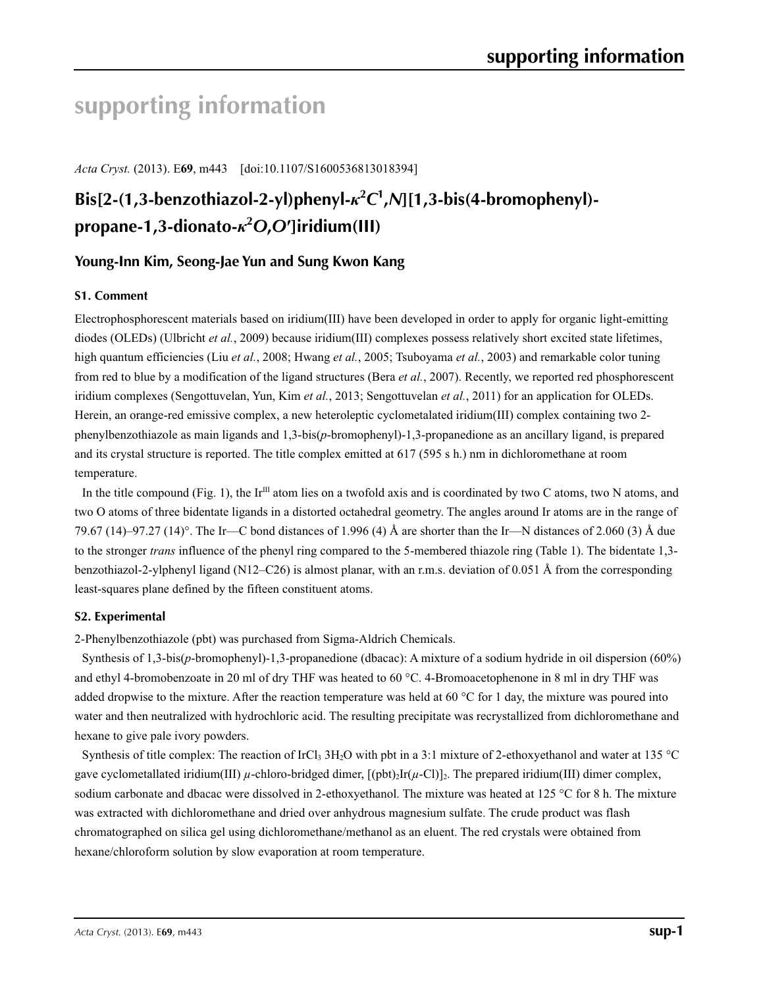# **supporting information**

*Acta Cryst.* (2013). E**69**, m443 [doi:10.1107/S1600536813018394]

# **Bis[2-(1,3-benzothiazol-2-yl)phenyl-***κ***<sup>2</sup>** *C***1 ,***N***][1,3-bis(4-bromophenyl) propane-1,3-dionato-***κ***<sup>2</sup>** *O***,***O***′]iridium(III)**

## **Young-Inn Kim, Seong-Jae Yun and Sung Kwon Kang**

## **S1. Comment**

Electrophosphorescent materials based on iridium(III) have been developed in order to apply for organic light-emitting diodes (OLEDs) (Ulbricht *et al.*, 2009) because iridium(III) complexes possess relatively short excited state lifetimes, high quantum efficiencies (Liu *et al.*, 2008; Hwang *et al.*, 2005; Tsuboyama *et al.*, 2003) and remarkable color tuning from red to blue by a modification of the ligand structures (Bera *et al.*, 2007). Recently, we reported red phosphorescent iridium complexes (Sengottuvelan, Yun, Kim *et al.*, 2013; Sengottuvelan *et al.*, 2011) for an application for OLEDs. Herein, an orange-red emissive complex, a new heteroleptic cyclometalated iridium(III) complex containing two 2 phenylbenzothiazole as main ligands and 1,3-bis(*p*-bromophenyl)-1,3-propanedione as an ancillary ligand, is prepared and its crystal structure is reported. The title complex emitted at 617 (595 s h.) nm in dichloromethane at room temperature.

In the title compound (Fig. 1), the Ir<sup>III</sup> atom lies on a twofold axis and is coordinated by two C atoms, two N atoms, and two O atoms of three bidentate ligands in a distorted octahedral geometry. The angles around Ir atoms are in the range of 79.67 (14)–97.27 (14)°. The Ir—C bond distances of 1.996 (4) Å are shorter than the Ir—N distances of 2.060 (3) Å due to the stronger *trans* influence of the phenyl ring compared to the 5-membered thiazole ring (Table 1). The bidentate 1,3 benzothiazol-2-ylphenyl ligand (N12–C26) is almost planar, with an r.m.s. deviation of 0.051 Å from the corresponding least-squares plane defined by the fifteen constituent atoms.

## **S2. Experimental**

2-Phenylbenzothiazole (pbt) was purchased from Sigma-Aldrich Chemicals.

Synthesis of 1,3-bis(*p*-bromophenyl)-1,3-propanedione (dbacac): A mixture of a sodium hydride in oil dispersion (60%) and ethyl 4-bromobenzoate in 20 ml of dry THF was heated to 60 °C. 4-Bromoacetophenone in 8 ml in dry THF was added dropwise to the mixture. After the reaction temperature was held at 60  $^{\circ}$ C for 1 day, the mixture was poured into water and then neutralized with hydrochloric acid. The resulting precipitate was recrystallized from dichloromethane and hexane to give pale ivory powders.

Synthesis of title complex: The reaction of IrCl<sub>3</sub> 3H<sub>2</sub>O with pbt in a 3:1 mixture of 2-ethoxyethanol and water at 135 °C gave cyclometallated iridium(III)  $\mu$ -chloro-bridged dimer,  $[(\text{pbt})_2\text{Ir}(\mu-\text{Cl})]_2$ . The prepared iridium(III) dimer complex, sodium carbonate and dbacac were dissolved in 2-ethoxyethanol. The mixture was heated at 125 °C for 8 h. The mixture was extracted with dichloromethane and dried over anhydrous magnesium sulfate. The crude product was flash chromatographed on silica gel using dichloromethane/methanol as an eluent. The red crystals were obtained from hexane/chloroform solution by slow evaporation at room temperature.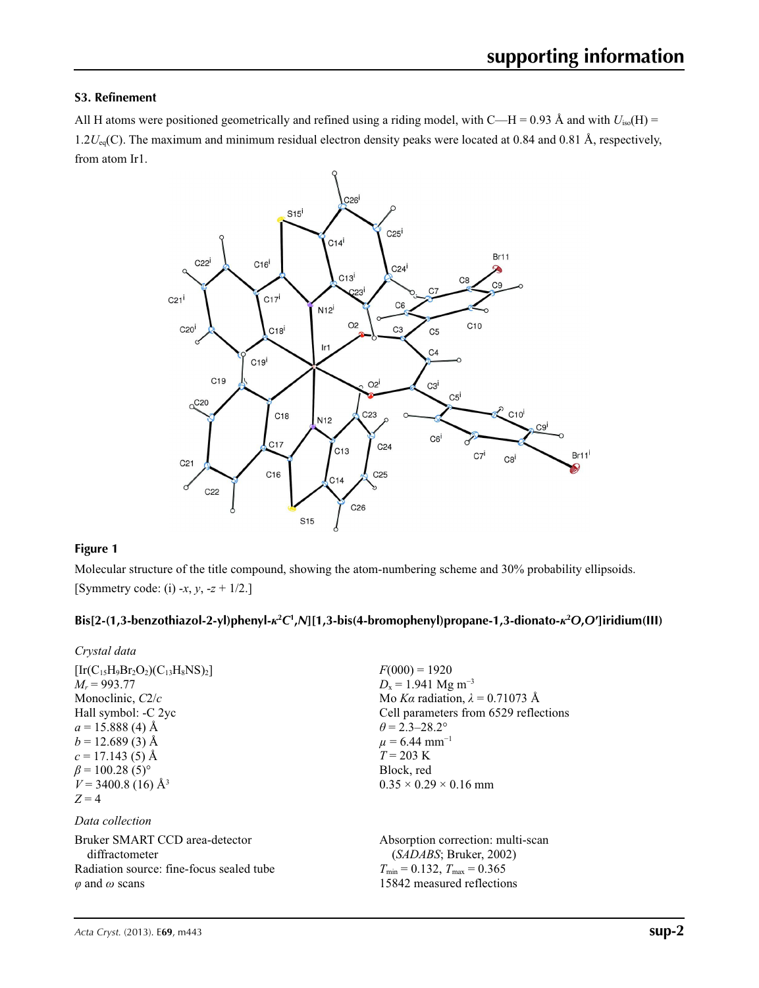## **S3. Refinement**

All H atoms were positioned geometrically and refined using a riding model, with C—H = 0.93 Å and with  $U_{iso}(H)$  = 1.2*U*<sub>eq</sub>(C). The maximum and minimum residual electron density peaks were located at 0.84 and 0.81 Å, respectively, from atom Ir1.



## **Figure 1**

Molecular structure of the title compound, showing the atom-numbering scheme and 30% probability ellipsoids. [Symmetry code: (i) -*x*, *y*, -*z* + 1/2.]

## **Bis[2-(1,3-benzothiazol-2-yl)phenyl-***κ***<sup>2</sup>** *C***1 ,***N***][1,3-bis(4-bromophenyl)propane-1,3-dionato-***κ***<sup>2</sup>** *O***,***O***′]iridium(III)**

| Crystal data                                                                                                                                                                                                                                            |                                                                                                                                                                                                                                                                           |
|---------------------------------------------------------------------------------------------------------------------------------------------------------------------------------------------------------------------------------------------------------|---------------------------------------------------------------------------------------------------------------------------------------------------------------------------------------------------------------------------------------------------------------------------|
| $[Ir(C_{15}H_9Br_2O_2)(C_{13}H_8NS)_2]$<br>$M_r = 993.77$<br>Monoclinic, $C2/c$<br>Hall symbol: -C 2yc<br>$a = 15.888(4)$ Å<br>$b = 12.689(3)$ Å<br>$c = 17.143(5)$ Å<br>$\beta$ = 100.28 (5) <sup>o</sup><br>$V = 3400.8$ (16) Å <sup>3</sup><br>$Z=4$ | $F(000) = 1920$<br>$D_x = 1.941$ Mg m <sup>-3</sup><br>Mo Ka radiation, $\lambda = 0.71073$ Å<br>Cell parameters from 6529 reflections<br>$\theta$ = 2.3–28.2°<br>$\mu$ = 6.44 mm <sup>-1</sup><br>$T = 203 \text{ K}$<br>Block, red<br>$0.35 \times 0.29 \times 0.16$ mm |
| Data collection                                                                                                                                                                                                                                         |                                                                                                                                                                                                                                                                           |
| Bruker SMART CCD area-detector<br>diffractometer<br>Radiation source: fine-focus sealed tube                                                                                                                                                            | Absorption correction: multi-scan<br>(SADABS; Bruker, 2002)<br>$T_{\min} = 0.132$ , $T_{\max} = 0.365$<br>15842 measured reflections                                                                                                                                      |
| $\varphi$ and $\omega$ scans                                                                                                                                                                                                                            |                                                                                                                                                                                                                                                                           |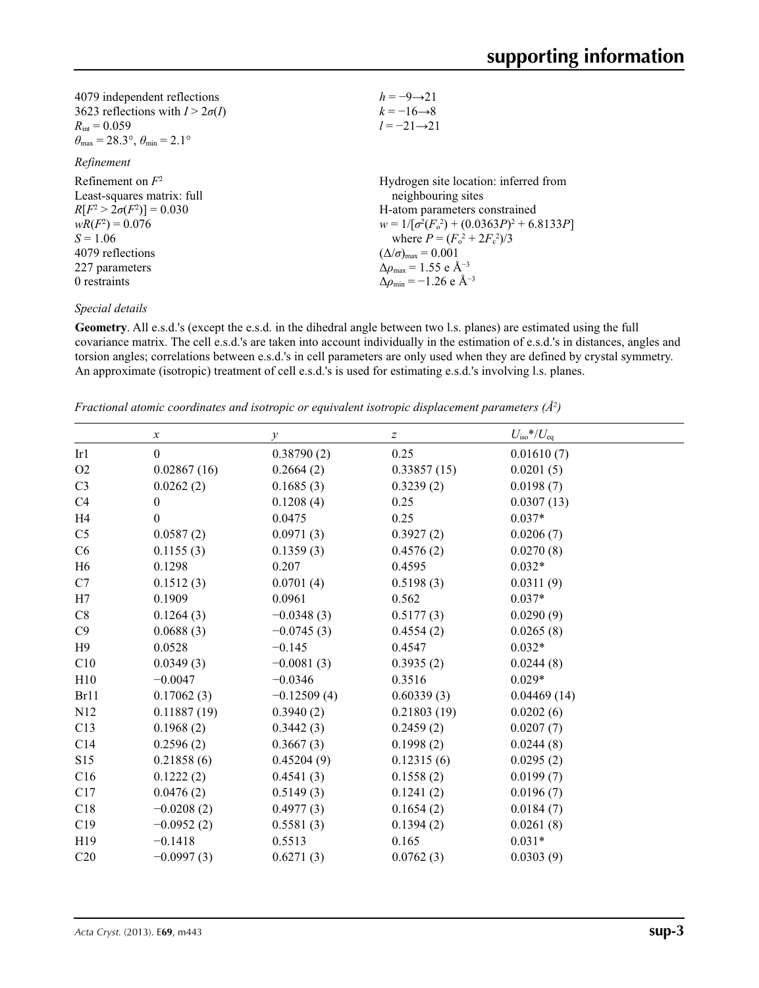| $h = -9 \rightarrow 21$                                     |
|-------------------------------------------------------------|
| $k = -16 \rightarrow 8$                                     |
| $l = -21 \rightarrow 21$                                    |
|                                                             |
|                                                             |
| Hydrogen site location: inferred from                       |
| neighbouring sites                                          |
| H-atom parameters constrained                               |
| $w = 1/[\sigma^2(F_0^2) + (0.0363P)^2 + 6.8133P]$           |
| where $P = (F_o^2 + 2F_c^2)/3$                              |
| $(\Delta/\sigma)_{\text{max}} = 0.001$                      |
| $\Delta\rho_{\text{max}} = 1.55 \text{ e } \text{\AA}^{-3}$ |
| $\Delta \rho_{\rm min} = -1.26$ e Å <sup>-3</sup>           |
|                                                             |

### *Special details*

**Geometry**. All e.s.d.'s (except the e.s.d. in the dihedral angle between two l.s. planes) are estimated using the full covariance matrix. The cell e.s.d.'s are taken into account individually in the estimation of e.s.d.'s in distances, angles and torsion angles; correlations between e.s.d.'s in cell parameters are only used when they are defined by crystal symmetry. An approximate (isotropic) treatment of cell e.s.d.'s is used for estimating e.s.d.'s involving l.s. planes.

*Fractional atomic coordinates and isotropic or equivalent isotropic displacement parameters (Å2 )*

|                 | $\boldsymbol{\chi}$ | $\mathcal{Y}$ | $\boldsymbol{Z}$ | $U_{\rm iso}$ */ $U_{\rm eq}$ |
|-----------------|---------------------|---------------|------------------|-------------------------------|
| Ir1             | $\mathbf{0}$        | 0.38790(2)    | 0.25             | 0.01610(7)                    |
| O2              | 0.02867(16)         | 0.2664(2)     | 0.33857(15)      | 0.0201(5)                     |
| C <sub>3</sub>  | 0.0262(2)           | 0.1685(3)     | 0.3239(2)        | 0.0198(7)                     |
| C4              | $\boldsymbol{0}$    | 0.1208(4)     | 0.25             | 0.0307(13)                    |
| H <sub>4</sub>  | $\boldsymbol{0}$    | 0.0475        | 0.25             | $0.037*$                      |
| C <sub>5</sub>  | 0.0587(2)           | 0.0971(3)     | 0.3927(2)        | 0.0206(7)                     |
| C6              | 0.1155(3)           | 0.1359(3)     | 0.4576(2)        | 0.0270(8)                     |
| H <sub>6</sub>  | 0.1298              | 0.207         | 0.4595           | $0.032*$                      |
| C7              | 0.1512(3)           | 0.0701(4)     | 0.5198(3)        | 0.0311(9)                     |
| H7              | 0.1909              | 0.0961        | 0.562            | $0.037*$                      |
| C8              | 0.1264(3)           | $-0.0348(3)$  | 0.5177(3)        | 0.0290(9)                     |
| C9              | 0.0688(3)           | $-0.0745(3)$  | 0.4554(2)        | 0.0265(8)                     |
| H9              | 0.0528              | $-0.145$      | 0.4547           | $0.032*$                      |
| C10             | 0.0349(3)           | $-0.0081(3)$  | 0.3935(2)        | 0.0244(8)                     |
| H10             | $-0.0047$           | $-0.0346$     | 0.3516           | $0.029*$                      |
| Br11            | 0.17062(3)          | $-0.12509(4)$ | 0.60339(3)       | 0.04469(14)                   |
| N12             | 0.11887(19)         | 0.3940(2)     | 0.21803(19)      | 0.0202(6)                     |
| C13             | 0.1968(2)           | 0.3442(3)     | 0.2459(2)        | 0.0207(7)                     |
| C14             | 0.2596(2)           | 0.3667(3)     | 0.1998(2)        | 0.0244(8)                     |
| S15             | 0.21858(6)          | 0.45204(9)    | 0.12315(6)       | 0.0295(2)                     |
| C16             | 0.1222(2)           | 0.4541(3)     | 0.1558(2)        | 0.0199(7)                     |
| C17             | 0.0476(2)           | 0.5149(3)     | 0.1241(2)        | 0.0196(7)                     |
| C18             | $-0.0208(2)$        | 0.4977(3)     | 0.1654(2)        | 0.0184(7)                     |
| C19             | $-0.0952(2)$        | 0.5581(3)     | 0.1394(2)        | 0.0261(8)                     |
| H <sub>19</sub> | $-0.1418$           | 0.5513        | 0.165            | $0.031*$                      |
| C20             | $-0.0997(3)$        | 0.6271(3)     | 0.0762(3)        | 0.0303(9)                     |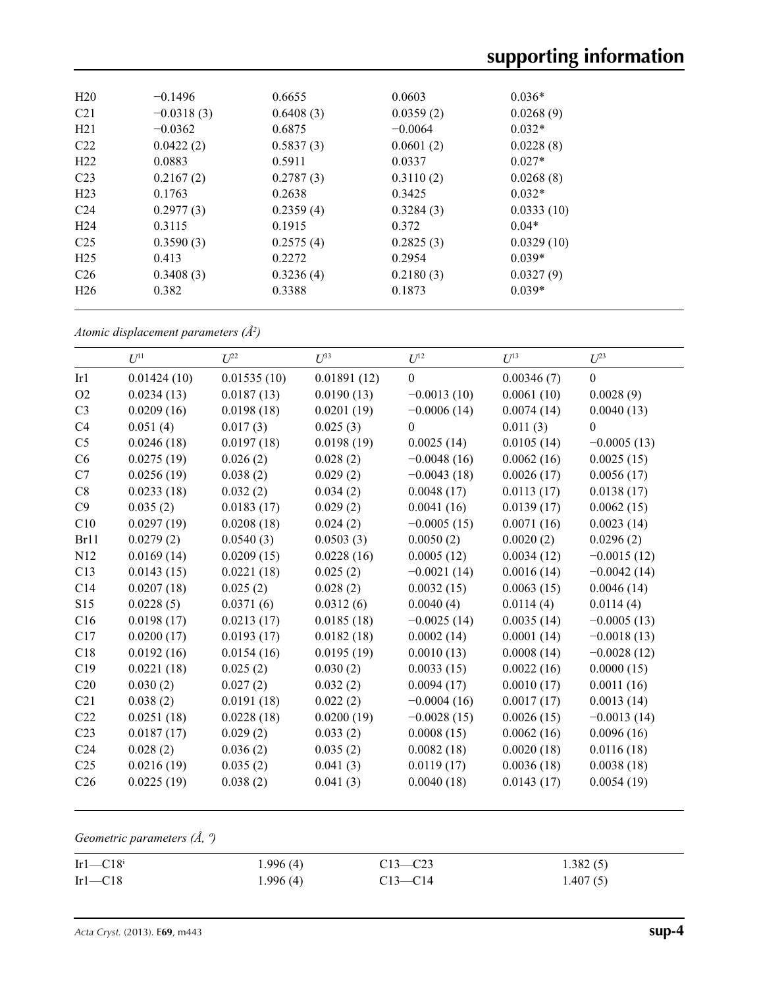| H <sub>20</sub> | $-0.1496$    | 0.6655    | 0.0603    | $0.036*$   |  |
|-----------------|--------------|-----------|-----------|------------|--|
| C <sub>21</sub> | $-0.0318(3)$ | 0.6408(3) | 0.0359(2) | 0.0268(9)  |  |
| H21             | $-0.0362$    | 0.6875    | $-0.0064$ | $0.032*$   |  |
| C <sub>22</sub> | 0.0422(2)    | 0.5837(3) | 0.0601(2) | 0.0228(8)  |  |
| H <sub>22</sub> | 0.0883       | 0.5911    | 0.0337    | $0.027*$   |  |
| C <sub>23</sub> | 0.2167(2)    | 0.2787(3) | 0.3110(2) | 0.0268(8)  |  |
| H <sub>23</sub> | 0.1763       | 0.2638    | 0.3425    | $0.032*$   |  |
| C <sub>24</sub> | 0.2977(3)    | 0.2359(4) | 0.3284(3) | 0.0333(10) |  |
| H <sub>24</sub> | 0.3115       | 0.1915    | 0.372     | $0.04*$    |  |
| C <sub>25</sub> | 0.3590(3)    | 0.2575(4) | 0.2825(3) | 0.0329(10) |  |
| H <sub>25</sub> | 0.413        | 0.2272    | 0.2954    | $0.039*$   |  |
| C <sub>26</sub> | 0.3408(3)    | 0.3236(4) | 0.2180(3) | 0.0327(9)  |  |
| H <sub>26</sub> | 0.382        | 0.3388    | 0.1873    | $0.039*$   |  |
|                 |              |           |           |            |  |

*Atomic displacement parameters (Å2 )*

|                 | $U^{11}$    | $U^{22}$    | $U^{33}$    | $U^{12}$      | $U^{13}$   | $U^{23}$         |
|-----------------|-------------|-------------|-------------|---------------|------------|------------------|
| Ir1             | 0.01424(10) | 0.01535(10) | 0.01891(12) | $\mathbf{0}$  | 0.00346(7) | $\boldsymbol{0}$ |
| O2              | 0.0234(13)  | 0.0187(13)  | 0.0190(13)  | $-0.0013(10)$ | 0.0061(10) | 0.0028(9)        |
| C <sub>3</sub>  | 0.0209(16)  | 0.0198(18)  | 0.0201(19)  | $-0.0006(14)$ | 0.0074(14) | 0.0040(13)       |
| C4              | 0.051(4)    | 0.017(3)    | 0.025(3)    | $\theta$      | 0.011(3)   | $\theta$         |
| C <sub>5</sub>  | 0.0246(18)  | 0.0197(18)  | 0.0198(19)  | 0.0025(14)    | 0.0105(14) | $-0.0005(13)$    |
| C6              | 0.0275(19)  | 0.026(2)    | 0.028(2)    | $-0.0048(16)$ | 0.0062(16) | 0.0025(15)       |
| C7              | 0.0256(19)  | 0.038(2)    | 0.029(2)    | $-0.0043(18)$ | 0.0026(17) | 0.0056(17)       |
| $\mbox{C}8$     | 0.0233(18)  | 0.032(2)    | 0.034(2)    | 0.0048(17)    | 0.0113(17) | 0.0138(17)       |
| C9              | 0.035(2)    | 0.0183(17)  | 0.029(2)    | 0.0041(16)    | 0.0139(17) | 0.0062(15)       |
| C10             | 0.0297(19)  | 0.0208(18)  | 0.024(2)    | $-0.0005(15)$ | 0.0071(16) | 0.0023(14)       |
| Br11            | 0.0279(2)   | 0.0540(3)   | 0.0503(3)   | 0.0050(2)     | 0.0020(2)  | 0.0296(2)        |
| N12             | 0.0169(14)  | 0.0209(15)  | 0.0228(16)  | 0.0005(12)    | 0.0034(12) | $-0.0015(12)$    |
| C13             | 0.0143(15)  | 0.0221(18)  | 0.025(2)    | $-0.0021(14)$ | 0.0016(14) | $-0.0042(14)$    |
| C14             | 0.0207(18)  | 0.025(2)    | 0.028(2)    | 0.0032(15)    | 0.0063(15) | 0.0046(14)       |
| S15             | 0.0228(5)   | 0.0371(6)   | 0.0312(6)   | 0.0040(4)     | 0.0114(4)  | 0.0114(4)        |
| C16             | 0.0198(17)  | 0.0213(17)  | 0.0185(18)  | $-0.0025(14)$ | 0.0035(14) | $-0.0005(13)$    |
| C17             | 0.0200(17)  | 0.0193(17)  | 0.0182(18)  | 0.0002(14)    | 0.0001(14) | $-0.0018(13)$    |
| C18             | 0.0192(16)  | 0.0154(16)  | 0.0195(19)  | 0.0010(13)    | 0.0008(14) | $-0.0028(12)$    |
| C19             | 0.0221(18)  | 0.025(2)    | 0.030(2)    | 0.0033(15)    | 0.0022(16) | 0.0000(15)       |
| C20             | 0.030(2)    | 0.027(2)    | 0.032(2)    | 0.0094(17)    | 0.0010(17) | 0.0011(16)       |
| C21             | 0.038(2)    | 0.0191(18)  | 0.022(2)    | $-0.0004(16)$ | 0.0017(17) | 0.0013(14)       |
| C22             | 0.0251(18)  | 0.0228(18)  | 0.0200(19)  | $-0.0028(15)$ | 0.0026(15) | $-0.0013(14)$    |
| C <sub>23</sub> | 0.0187(17)  | 0.029(2)    | 0.033(2)    | 0.0008(15)    | 0.0062(16) | 0.0096(16)       |
| C <sub>24</sub> | 0.028(2)    | 0.036(2)    | 0.035(2)    | 0.0082(18)    | 0.0020(18) | 0.0116(18)       |
| C <sub>25</sub> | 0.0216(19)  | 0.035(2)    | 0.041(3)    | 0.0119(17)    | 0.0036(18) | 0.0038(18)       |
| C <sub>26</sub> | 0.0225(19)  | 0.038(2)    | 0.041(3)    | 0.0040(18)    | 0.0143(17) | 0.0054(19)       |
|                 |             |             |             |               |            |                  |

*Geometric parameters (Å, º)*

| $Ir1-C18i$ | 1.996(4) | $C13 - C23$ | 1.382(5) |
|------------|----------|-------------|----------|
| $Ir1-C18$  | 1.996(4) | $C13 - C14$ | 1.407(5) |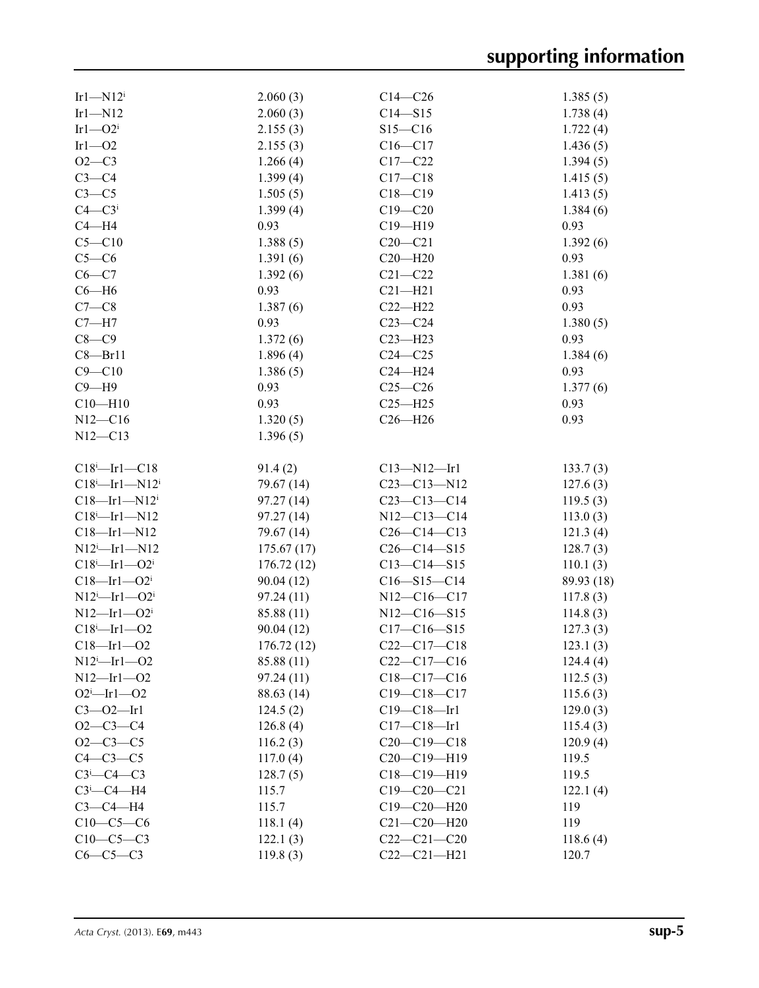| Irl $-N12^i$                    | 2.060(3)   | $C14-C26$         | 1.385(5)   |
|---------------------------------|------------|-------------------|------------|
| $Ir1 - N12$                     | 2.060(3)   | $C14 - S15$       | 1.738(4)   |
| $Ir1 - O2$ <sup>i</sup>         | 2.155(3)   | $S15 - C16$       | 1.722(4)   |
| $Ir1 - O2$                      | 2.155(3)   | $C16 - C17$       | 1.436(5)   |
| $O2-C3$                         | 1.266(4)   | $C17 - C22$       | 1.394(5)   |
| $C3-C4$                         | 1.399(4)   | $C17 - C18$       | 1.415(5)   |
| $C3-C5$                         | 1.505(5)   | $C18 - C19$       | 1.413(5)   |
| $C4 - C3$ <sup>i</sup>          | 1.399(4)   | $C19 - C20$       | 1.384(6)   |
| $C4 - H4$                       | 0.93       | $C19 - H19$       | 0.93       |
| $C5 - C10$                      | 1.388(5)   | $C20-C21$         | 1.392(6)   |
| $C5-C6$                         | 1.391(6)   | $C20 - H20$       | 0.93       |
| $C6-C7$                         | 1.392(6)   | $C21 - C22$       | 1.381(6)   |
| $C6 - H6$                       | 0.93       | $C21 - H21$       | 0.93       |
| $C7-C8$                         | 1.387(6)   | $C22-H22$         | 0.93       |
| $C7 - H7$                       | 0.93       | $C23-C24$         | 1.380(5)   |
| $C8-C9$                         | 1.372(6)   | $C23 - H23$       | 0.93       |
| $C8 - Br11$                     | 1.896(4)   | $C24 - C25$       | 1.384(6)   |
| $C9 - C10$                      | 1.386(5)   | $C24 - H24$       | 0.93       |
| $C9 - H9$                       | 0.93       | $C25-C26$         | 1.377(6)   |
| $C10 - H10$                     | 0.93       | $C25 - H25$       | 0.93       |
| $N12 - C16$                     | 1.320(5)   | $C26 - H26$       | 0.93       |
| $N12 - C13$                     | 1.396(5)   |                   |            |
|                                 |            |                   |            |
| $C18$ <sup>i</sup> -Irl- $C18$  | 91.4(2)    | $C13 - N12 - Ir1$ | 133.7(3)   |
| $C18^i$ -Irl-N12 <sup>i</sup>   | 79.67 (14) | $C23 - C13 - N12$ | 127.6(3)   |
| $C18$ —Irl—N12 <sup>i</sup>     | 97.27(14)  | $C23 - C13 - C14$ | 119.5(3)   |
| $C18^i$ -Irl-N12                | 97.27(14)  | $N12 - C13 - C14$ | 113.0(3)   |
| $C18$ —Irl—N12                  | 79.67 (14) | $C26-C14-C13$     | 121.3(4)   |
| $N12^i$ -Irl-N12                | 175.67(17) | $C26-C14-S15$     | 128.7(3)   |
| $C18^i$ -Irl- $O2^i$            | 176.72(12) | $C13 - C14 - S15$ | 110.1(3)   |
| $C18 - Ir1 - O2i$               | 90.04(12)  | $C16 - S15 - C14$ | 89.93 (18) |
| $N12^i$ -Irl- $O2^i$            | 97.24(11)  | N12-C16-C17       | 117.8(3)   |
| $N12$ —Irl—O2 <sup>i</sup>      | 85.88 (11) | $N12 - C16 - S15$ | 114.8(3)   |
| $C18^i$ -Irl-02                 | 90.04(12)  | $C17 - C16 - S15$ | 127.3(3)   |
| $C18 - Ir1 - O2$                | 176.72(12) | $C22-C17-C18$     | 123.1(3)   |
| $N12^i$ -Irl-02                 | 85.88 (11) | $C22-C17-C16$     | 124.4(4)   |
| $N12 - Ir1 - O2$                | 97.24 (11) | $C18-C17-C16$     | 112.5(3)   |
| $O2^i$ -Irl- $O2$               | 88.63 (14) | $C19 - C18 - C17$ | 115.6(3)   |
| $C3 - 02 - Ir1$                 | 124.5(2)   | $C19 - C18 - Ir1$ | 129.0(3)   |
| $O2-C3-C4$                      | 126.8(4)   | $C17-C18$ —Irl    | 115.4(3)   |
| $O2 - C3 - C5$                  | 116.2(3)   | $C20-C19-C18$     | 120.9(4)   |
| $C4-C3-C5$                      | 117.0(4)   | C20-C19-H19       | 119.5      |
| $C3$ <sup>i</sup> - $C4$ - $C3$ | 128.7(5)   | $C18-C19-H19$     | 119.5      |
| $C3$ <sup>i</sup> - $C4$ -H4    | 115.7      | $C19 - C20 - C21$ | 122.1(4)   |
| $C3-C4-H4$                      | 115.7      | $C19 - C20 - H20$ | 119        |
| $C10-C5-C6$                     | 118.1(4)   | $C21 - C20 - H20$ | 119        |
| $C10-C5-C3$                     | 122.1(3)   | $C22-C21-C20$     | 118.6(4)   |
| $C6-C5-C3$                      | 119.8(3)   | $C22-C21-H21$     | 120.7      |
|                                 |            |                   |            |